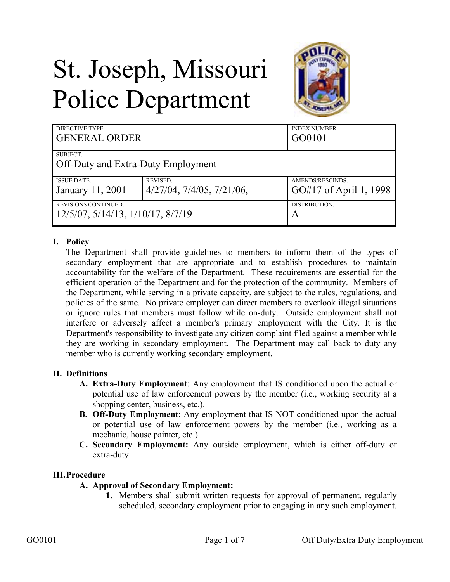# St. Joseph, Missouri Police Department



| <b>DIRECTIVE TYPE:</b>             |                                    | <b>INDEX NUMBER:</b>   |
|------------------------------------|------------------------------------|------------------------|
| <b>GENERAL ORDER</b>               |                                    | GO0101                 |
| SUBJECT:                           |                                    |                        |
| Off-Duty and Extra-Duty Employment |                                    |                        |
| <b>ISSUE DATE:</b>                 | <b>REVISED:</b>                    | AMENDS/RESCINDS:       |
| January 11, 2001                   | $4/27/04$ , $7/4/05$ , $7/21/06$ , | GO#17 of April 1, 1998 |
| <b>REVISIONS CONTINUED:</b>        |                                    | DISTRIBUTION:          |
| 12/5/07, 5/14/13, 1/10/17, 8/7/19  |                                    | A                      |

## **I. Policy**

The Department shall provide guidelines to members to inform them of the types of secondary employment that are appropriate and to establish procedures to maintain accountability for the welfare of the Department. These requirements are essential for the efficient operation of the Department and for the protection of the community. Members of the Department, while serving in a private capacity, are subject to the rules, regulations, and policies of the same. No private employer can direct members to overlook illegal situations or ignore rules that members must follow while on-duty. Outside employment shall not interfere or adversely affect a member's primary employment with the City. It is the Department's responsibility to investigate any citizen complaint filed against a member while they are working in secondary employment. The Department may call back to duty any member who is currently working secondary employment.

#### **II. Definitions**

- **A. Extra-Duty Employment**: Any employment that IS conditioned upon the actual or potential use of law enforcement powers by the member (i.e., working security at a shopping center, business, etc.).
- **B. Off-Duty Employment**: Any employment that IS NOT conditioned upon the actual or potential use of law enforcement powers by the member (i.e., working as a mechanic, house painter, etc.)
- **C. Secondary Employment:** Any outside employment, which is either off-duty or extra-duty.

#### **III.Procedure**

- **A. Approval of Secondary Employment:** 
	- **1.** Members shall submit written requests for approval of permanent, regularly scheduled, secondary employment prior to engaging in any such employment.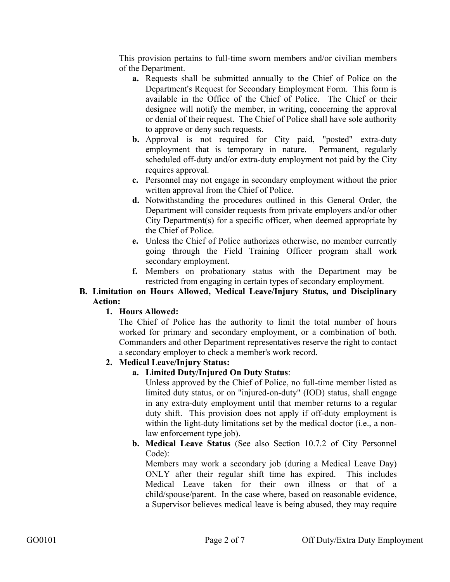This provision pertains to full-time sworn members and/or civilian members of the Department.

- **a.** Requests shall be submitted annually to the Chief of Police on the Department's Request for Secondary Employment Form. This form is available in the Office of the Chief of Police. The Chief or their designee will notify the member, in writing, concerning the approval or denial of their request. The Chief of Police shall have sole authority to approve or deny such requests.
- **b.** Approval is not required for City paid, "posted" extra-duty employment that is temporary in nature. Permanent, regularly scheduled off-duty and/or extra-duty employment not paid by the City requires approval.
- **c.** Personnel may not engage in secondary employment without the prior written approval from the Chief of Police.
- **d.** Notwithstanding the procedures outlined in this General Order, the Department will consider requests from private employers and/or other City Department(s) for a specific officer, when deemed appropriate by the Chief of Police.
- **e.** Unless the Chief of Police authorizes otherwise, no member currently going through the Field Training Officer program shall work secondary employment.
- **f.** Members on probationary status with the Department may be restricted from engaging in certain types of secondary employment.

#### **B. Limitation on Hours Allowed, Medical Leave/Injury Status, and Disciplinary Action:**

# **1. Hours Allowed:**

The Chief of Police has the authority to limit the total number of hours worked for primary and secondary employment, or a combination of both. Commanders and other Department representatives reserve the right to contact a secondary employer to check a member's work record.

# **2. Medical Leave/Injury Status:**

# **a. Limited Duty/Injured On Duty Status**:

Unless approved by the Chief of Police, no full-time member listed as limited duty status, or on "injured-on-duty" (IOD) status, shall engage in any extra-duty employment until that member returns to a regular duty shift. This provision does not apply if off-duty employment is within the light-duty limitations set by the medical doctor (i.e., a nonlaw enforcement type job).

**b. Medical Leave Status** (See also Section 10.7.2 of City Personnel Code):

Members may work a secondary job (during a Medical Leave Day) ONLY after their regular shift time has expired. This includes Medical Leave taken for their own illness or that of a child/spouse/parent. In the case where, based on reasonable evidence, a Supervisor believes medical leave is being abused, they may require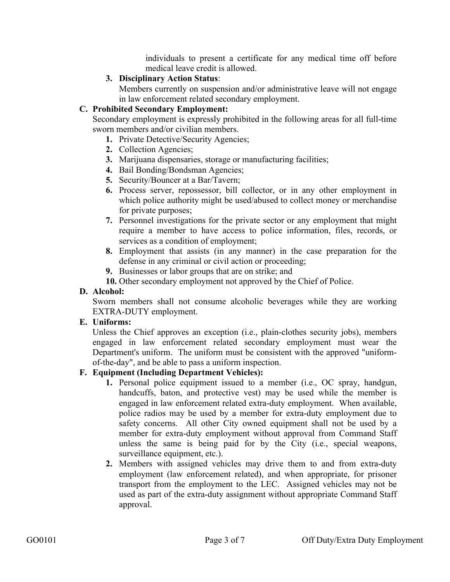individuals to present a certificate for any medical time off before medical leave credit is allowed.

#### **3. Disciplinary Action Status**:

Members currently on suspension and/or administrative leave will not engage in law enforcement related secondary employment.

## **C. Prohibited Secondary Employment:**

Secondary employment is expressly prohibited in the following areas for all full-time sworn members and/or civilian members.

- **1.** Private Detective/Security Agencies;
- **2.** Collection Agencies;
- **3.** Marijuana dispensaries, storage or manufacturing facilities;
- **4.** Bail Bonding/Bondsman Agencies;
- **5.** Security/Bouncer at a Bar/Tavern;
- **6.** Process server, repossessor, bill collector, or in any other employment in which police authority might be used/abused to collect money or merchandise for private purposes;
- **7.** Personnel investigations for the private sector or any employment that might require a member to have access to police information, files, records, or services as a condition of employment;
- **8.** Employment that assists (in any manner) in the case preparation for the defense in any criminal or civil action or proceeding;
- **9.** Businesses or labor groups that are on strike; and

**10.** Other secondary employment not approved by the Chief of Police.

#### **D. Alcohol:**

Sworn members shall not consume alcoholic beverages while they are working EXTRA-DUTY employment.

#### **E. Uniforms:**

Unless the Chief approves an exception (i.e., plain-clothes security jobs), members engaged in law enforcement related secondary employment must wear the Department's uniform. The uniform must be consistent with the approved "uniformof-the-day", and be able to pass a uniform inspection.

#### **F. Equipment (Including Department Vehicles):**

- **1.** Personal police equipment issued to a member (i.e., OC spray, handgun, handcuffs, baton, and protective vest) may be used while the member is engaged in law enforcement related extra-duty employment. When available, police radios may be used by a member for extra-duty employment due to safety concerns. All other City owned equipment shall not be used by a member for extra-duty employment without approval from Command Staff unless the same is being paid for by the City (i.e., special weapons, surveillance equipment, etc.).
- **2.** Members with assigned vehicles may drive them to and from extra-duty employment (law enforcement related), and when appropriate, for prisoner transport from the employment to the LEC. Assigned vehicles may not be used as part of the extra-duty assignment without appropriate Command Staff approval.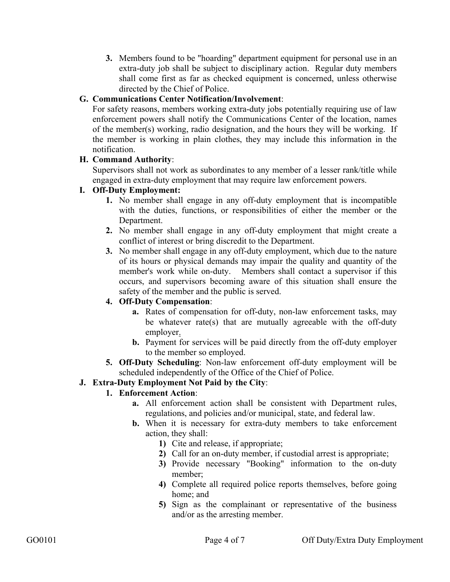**3.** Members found to be "hoarding" department equipment for personal use in an extra-duty job shall be subject to disciplinary action. Regular duty members shall come first as far as checked equipment is concerned, unless otherwise directed by the Chief of Police.

# **G. Communications Center Notification/Involvement**:

For safety reasons, members working extra-duty jobs potentially requiring use of law enforcement powers shall notify the Communications Center of the location, names of the member(s) working, radio designation, and the hours they will be working. If the member is working in plain clothes, they may include this information in the notification.

#### **H. Command Authority**:

Supervisors shall not work as subordinates to any member of a lesser rank/title while engaged in extra-duty employment that may require law enforcement powers.

#### **I. Off-Duty Employment:**

- **1.** No member shall engage in any off-duty employment that is incompatible with the duties, functions, or responsibilities of either the member or the Department.
- **2.** No member shall engage in any off-duty employment that might create a conflict of interest or bring discredit to the Department.
- **3.** No member shall engage in any off-duty employment, which due to the nature of its hours or physical demands may impair the quality and quantity of the member's work while on-duty. Members shall contact a supervisor if this occurs, and supervisors becoming aware of this situation shall ensure the safety of the member and the public is served.

#### **4. Off-Duty Compensation**:

- **a.** Rates of compensation for off-duty, non-law enforcement tasks, may be whatever rate(s) that are mutually agreeable with the off-duty employer.
- **b.** Payment for services will be paid directly from the off-duty employer to the member so employed.
- **5. Off-Duty Scheduling**: Non-law enforcement off-duty employment will be scheduled independently of the Office of the Chief of Police.

# **J. Extra-Duty Employment Not Paid by the City**:

#### **1. Enforcement Action**:

- **a.** All enforcement action shall be consistent with Department rules, regulations, and policies and/or municipal, state, and federal law.
- **b.** When it is necessary for extra-duty members to take enforcement action, they shall:
	- **1)** Cite and release, if appropriate;
	- **2)** Call for an on-duty member, if custodial arrest is appropriate;
	- **3)** Provide necessary "Booking" information to the on-duty member;
	- **4)** Complete all required police reports themselves, before going home; and
	- **5)** Sign as the complainant or representative of the business and/or as the arresting member.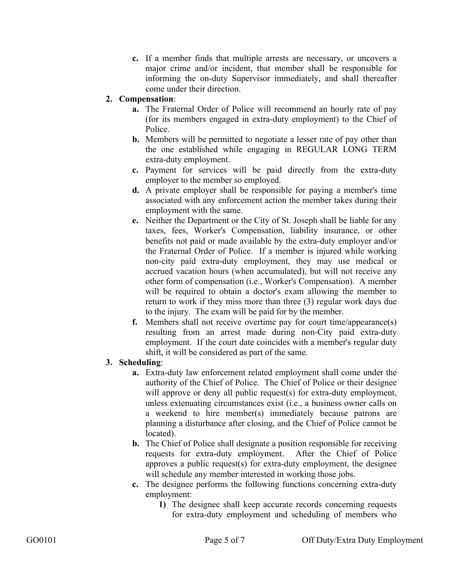**c.** If a member finds that multiple arrests are necessary, or uncovers a major crime and/or incident, that member shall be responsible for informing the on-duty Supervisor immediately, and shall thereafter come under their direction.

## **2. Compensation**:

- **a.** The Fraternal Order of Police will recommend an hourly rate of pay (for its members engaged in extra-duty employment) to the Chief of Police.
- **b.** Members will be permitted to negotiate a lesser rate of pay other than the one established while engaging in REGULAR LONG TERM extra-duty employment.
- **c.** Payment for services will be paid directly from the extra-duty employer to the member so employed.
- **d.** A private employer shall be responsible for paying a member's time associated with any enforcement action the member takes during their employment with the same.
- **e.** Neither the Department or the City of St. Joseph shall be liable for any taxes, fees, Worker's Compensation, liability insurance, or other benefits not paid or made available by the extra-duty employer and/or the Fraternal Order of Police. If a member is injured while working non-city paid extra-duty employment, they may use medical or accrued vacation hours (when accumulated), but will not receive any other form of compensation (i.e., Worker's Compensation). A member will be required to obtain a doctor's exam allowing the member to return to work if they miss more than three (3) regular work days due to the injury. The exam will be paid for by the member.
- **f.** Members shall not receive overtime pay for court time/appearance(s) resulting from an arrest made during non-City paid extra-duty employment. If the court date coincides with a member's regular duty shift, it will be considered as part of the same.
- **3. Scheduling**:
	- **a.** Extra-duty law enforcement related employment shall come under the authority of the Chief of Police. The Chief of Police or their designee will approve or deny all public request(s) for extra-duty employment, unless extenuating circumstances exist (i.e., a business owner calls on a weekend to hire member(s) immediately because patrons are planning a disturbance after closing, and the Chief of Police cannot be located).
	- **b.** The Chief of Police shall designate a position responsible for receiving requests for extra-duty employment. After the Chief of Police approves a public request(s) for extra-duty employment, the designee will schedule any member interested in working those jobs.
	- **c.** The designee performs the following functions concerning extra-duty employment:
		- **1)** The designee shall keep accurate records concerning requests for extra-duty employment and scheduling of members who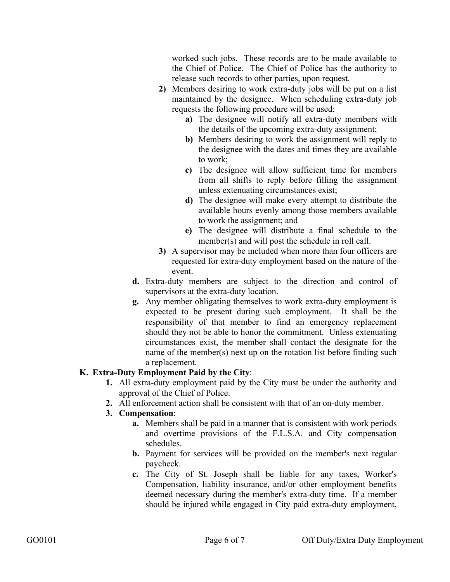worked such jobs. These records are to be made available to the Chief of Police. The Chief of Police has the authority to release such records to other parties, upon request.

- **2)** Members desiring to work extra-duty jobs will be put on a list maintained by the designee. When scheduling extra-duty job requests the following procedure will be used:
	- **a)** The designee will notify all extra-duty members with the details of the upcoming extra-duty assignment;
	- **b)** Members desiring to work the assignment will reply to the designee with the dates and times they are available to work;
	- **c)** The designee will allow sufficient time for members from all shifts to reply before filling the assignment unless extenuating circumstances exist;
	- **d)** The designee will make every attempt to distribute the available hours evenly among those members available to work the assignment; and
	- **e)** The designee will distribute a final schedule to the member(s) and will post the schedule in roll call.
- **3)** A supervisor may be included when more than four officers are requested for extra-duty employment based on the nature of the event.
- **d.** Extra-duty members are subject to the direction and control of supervisors at the extra-duty location.
- **g.** Any member obligating themselves to work extra-duty employment is expected to be present during such employment. It shall be the responsibility of that member to find an emergency replacement should they not be able to honor the commitment. Unless extenuating circumstances exist, the member shall contact the designate for the name of the member(s) next up on the rotation list before finding such a replacement.

# **K. Extra-Duty Employment Paid by the City**:

- **1.** All extra-duty employment paid by the City must be under the authority and approval of the Chief of Police.
- **2.** All enforcement action shall be consistent with that of an on-duty member.

#### **3. Compensation**:

- **a.** Members shall be paid in a manner that is consistent with work periods and overtime provisions of the F.L.S.A. and City compensation schedules.
- **b.** Payment for services will be provided on the member's next regular paycheck.
- **c.** The City of St. Joseph shall be liable for any taxes, Worker's Compensation, liability insurance, and/or other employment benefits deemed necessary during the member's extra-duty time. If a member should be injured while engaged in City paid extra-duty employment,